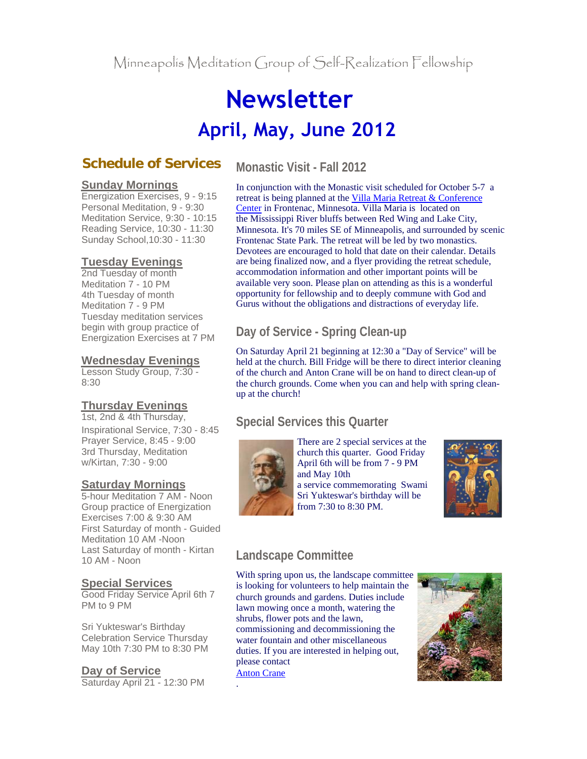# **Newsletter April, May, June 2012**

# **Schedule of Services**

#### **Sunday Mornings**

Energization Exercises, 9 - 9:15 Personal Meditation, 9 - 9:30 Meditation Service, 9:30 - 10:15 Reading Service, 10:30 - 11:30 Sunday School,10:30 - 11:30

## **Tuesday Evenings**

2nd Tuesday of month Meditation 7 - 10 PM 4th Tuesday of month Meditation 7 - 9 PM Tuesday meditation services begin with group practice of Energization Exercises at 7 PM

## **Wednesday Evenings**

Lesson Study Group, 7:30 - 8:30

# **Thursday Evenings**

1st, 2nd & 4th Thursday, Inspirational Service, 7:30 - 8:45 Prayer Service, 8:45 - 9:00 3rd Thursday, Meditation w/Kirtan, 7:30 - 9:00

### **Saturday Mornings**

5-hour Meditation 7 AM - Noon Group practice of Energization Exercises 7:00 & 9:30 AM First Saturday of month - Guided Meditation 10 AM -Noon Last Saturday of month - Kirtan 10 AM - Noon

#### **Special Services**

Good Friday Service April 6th 7 PM to 9 PM

Sri Yukteswar's Birthday Celebration Service Thursday May 10th 7:30 PM to 8:30 PM

**Day of Service** Saturday April 21 - 12:30 PM

# **Monastic Visit - Fall 2012**

In conjunction with the Monastic visit scheduled for October 5-7 a retreat is being planned at the Villa Maria Retreat & Conference Center in Frontenac, Minnesota. Villa Maria is located on the Mississippi River bluffs between Red Wing and Lake City, Minnesota. It's 70 miles SE of Minneapolis, and surrounded by scenic Frontenac State Park. The retreat will be led by two monastics. Devotees are encouraged to hold that date on their calendar. Details are being finalized now, and a flyer providing the retreat schedule, accommodation information and other important points will be available very soon. Please plan on attending as this is a wonderful opportunity for fellowship and to deeply commune with God and Gurus without the obligations and distractions of everyday life.

# **Day of Service - Spring Clean-up**

On Saturday April 21 beginning at 12:30 a "Day of Service" will be held at the church. Bill Fridge will be there to direct interior cleaning of the church and Anton Crane will be on hand to direct clean-up of the church grounds. Come when you can and help with spring cleanup at the church!

# **Special Services this Quarter**



There are 2 special services at the church this quarter. Good Friday April 6th will be from 7 - 9 PM and May 10th a service commemorating Swami Sri Yukteswar's birthday will be from 7:30 to 8:30 PM.



# **Landscape Committee**

With spring upon us, the landscape committee is looking for volunteers to help maintain the church grounds and gardens. Duties include lawn mowing once a month, watering the shrubs, flower pots and the lawn, commissioning and decommissioning the water fountain and other miscellaneous duties. If you are interested in helping out, please contact Anton Crane .